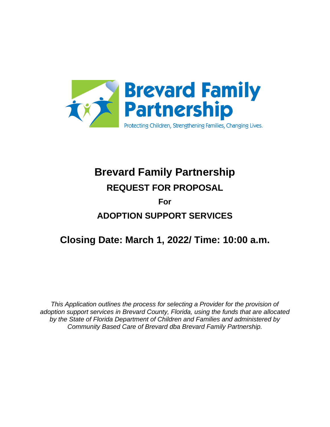

# **Brevard Family Partnership REQUEST FOR PROPOSAL**

## **For ADOPTION SUPPORT SERVICES**

## **Closing Date: March 1, 2022/ Time: 10:00 a.m.**

*This Application outlines the process for selecting a Provider for the provision of adoption support services in Brevard County, Florida, using the funds that are allocated by the State of Florida Department of Children and Families and administered by Community Based Care of Brevard dba Brevard Family Partnership.*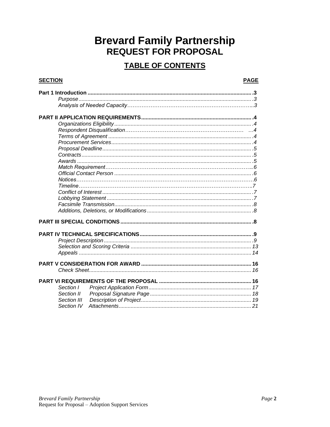## **Brevard Family Partnership REQUEST FOR PROPOSAL**

### **TABLE OF CONTENTS**

### **SECTION**

### **PAGE**

| Section I   |  |
|-------------|--|
| Section II  |  |
| Section III |  |
| Section IV  |  |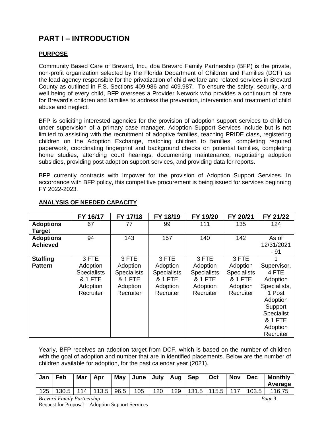### **PART I – INTRODUCTION**

### **PURPOSE**

Community Based Care of Brevard, Inc., dba Brevard Family Partnership (BFP) is the private, non-profit organization selected by the Florida Department of Children and Families (DCF) as the lead agency responsible for the privatization of child welfare and related services in Brevard County as outlined in F.S. Sections 409.986 and 409.987. To ensure the safety, security, and well being of every child, BFP oversees a Provider Network who provides a continuum of care for Brevard's children and families to address the prevention, intervention and treatment of child abuse and neglect.

BFP is soliciting interested agencies for the provision of adoption support services to children under supervision of a primary case manager. Adoption Support Services include but is not limited to assisting with the recruitment of adoptive families, teaching PRIDE class, registering children on the Adoption Exchange, matching children to families, completing required paperwork, coordinating fingerprint and background checks on potential families, completing home studies, attending court hearings, documenting maintenance, negotiating adoption subsidies, providing post adoption support services, and providing data for reports.

BFP currently contracts with Impower for the provision of Adoption Support Services. In accordance with BFP policy, this competitive procurement is being issued for services beginning FY 2022-2023.

|                  | FY 16/17           | FY 17/18           | FY 18/19           | FY 19/20           | FY 20/21           | FY 21/22           |
|------------------|--------------------|--------------------|--------------------|--------------------|--------------------|--------------------|
| <b>Adoptions</b> | 67                 | 77                 | 99                 | 111                | 135                | 124                |
| <b>Target</b>    |                    |                    |                    |                    |                    |                    |
| <b>Adoptions</b> | 94                 | 143                | 157                | 140                | 142                | As of              |
| <b>Achieved</b>  |                    |                    |                    |                    |                    | 12/31/2021<br>- 91 |
| <b>Staffing</b>  | 3 FTE              | 3 FTE              | 3 FTE              | 3 FTE              | 3 FTE              |                    |
| <b>Pattern</b>   | Adoption           | Adoption           | Adoption           | Adoption           | Adoption           | Supervisor,        |
|                  | <b>Specialists</b> | <b>Specialists</b> | <b>Specialists</b> | <b>Specialists</b> | <b>Specialists</b> | 4 FTE              |
|                  | & 1 FTE            | <b>&amp; 1 FTE</b> | <b>&amp; 1 FTE</b> | & 1 FTE            | & 1 FTE            | Adoption           |
|                  | Adoption           | Adoption           | Adoption           | Adoption           | Adoption           | Specialists,       |
|                  | Recruiter          | Recruiter          | Recruiter          | Recruiter          | Recruiter          | 1 Post             |
|                  |                    |                    |                    |                    |                    | Adoption           |
|                  |                    |                    |                    |                    |                    | Support            |
|                  |                    |                    |                    |                    |                    | Specialist         |
|                  |                    |                    |                    |                    |                    | <b>&amp; 1 FTE</b> |
|                  |                    |                    |                    |                    |                    | Adoption           |
|                  |                    |                    |                    |                    |                    | Recruiter          |

### **ANALYSIS OF NEEDED CAPACITY**

Yearly, BFP receives an adoption target from DCF, which is based on the number of children with the goal of adoption and number that are in identified placements. Below are the number of children available for adoption, for the past calendar year (2021).

| Jan | Feb                         | <b>Mar</b> | Apr | May  | June   July   Aug   Sep |     |                                   | Oct | Nov Dec | <b>Monthly</b><br>Average |
|-----|-----------------------------|------------|-----|------|-------------------------|-----|-----------------------------------|-----|---------|---------------------------|
| 125 | $\vert$ 130.5   114   113.5 |            |     | 96.5 | 105                     | 120 | 129   131.5   115.5   117   103.5 |     |         | 116.75                    |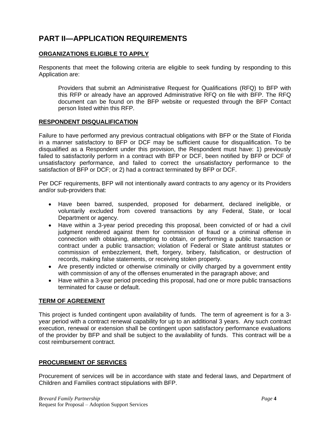### **PART II—APPLICATION REQUIREMENTS**

### **ORGANIZATIONS ELIGIBLE TO APPLY**

Responents that meet the following criteria are eligible to seek funding by responding to this Application are:

Providers that submit an Administrative Request for Qualifications (RFQ) to BFP with this RFP or already have an approved Administrative RFQ on file with BFP. The RFQ document can be found on the BFP website or requested through the BFP Contact person listed within this RFP.

### **RESPONDENT DISQUALIFICATION**

Failure to have performed any previous contractual obligations with BFP or the State of Florida in a manner satisfactory to BFP or DCF may be sufficient cause for disqualification. To be disqualified as a Respondent under this provision, the Respondent must have: 1) previously failed to satisfactorily perform in a contract with BFP or DCF, been notified by BFP or DCF of unsatisfactory performance, and failed to correct the unsatisfactory performance to the satisfaction of BFP or DCF; or 2) had a contract terminated by BFP or DCF.

Per DCF requirements, BFP will not intentionally award contracts to any agency or its Providers and/or sub-providers that:

- Have been barred, suspended, proposed for debarment, declared ineligible, or voluntarily excluded from covered transactions by any Federal, State, or local Department or agency.
- Have within a 3-year period preceding this proposal, been convicted of or had a civil judgment rendered against them for commission of fraud or a criminal offense in connection with obtaining, attempting to obtain, or performing a public transaction or contract under a public transaction; violation of Federal or State antitrust statutes or commission of embezzlement, theft, forgery, bribery, falsification, or destruction of records, making false statements, or receiving stolen property.
- Are presently indicted or otherwise criminally or civilly charged by a government entity with commission of any of the offenses enumerated in the paragraph above; and
- Have within a 3-year period preceding this proposal, had one or more public transactions terminated for cause or default.

### **TERM OF AGREEMENT**

This project is funded contingent upon availability of funds. The term of agreement is for a 3 year period with a contract renewal capability for up to an additional 3 years. Any such contract execution, renewal or extension shall be contingent upon satisfactory performance evaluations of the provider by BFP and shall be subject to the availability of funds. This contract will be a cost reimbursement contract.

### **PROCUREMENT OF SERVICES**

Procurement of services will be in accordance with state and federal laws, and Department of Children and Families contract stipulations with BFP.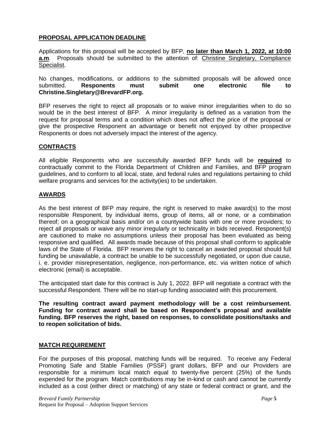### **PROPOSAL APPLICATION DEADLINE**

Applications for this proposal will be accepted by BFP, **no later than March 1, 2022, at 10:00 a.m**. Proposals should be submitted to the attention of: Christine Singletary, Compliance Specialist.

No changes, modifications, or additions to the submitted proposals will be allowed once submitted. **Responents must submit one electronic file to Christine.Singletary@BrevardFP.org.**

BFP reserves the right to reject all proposals or to waive minor irregularities when to do so would be in the best interest of BFP. A minor irregularity is defined as a variation from the request for proposal terms and a condition which does not affect the price of the proposal or give the prospective Responent an advantage or benefit not enjoyed by other prospective Responents or does not adversely impact the interest of the agency.

#### **CONTRACTS**

All eligible Responents who are successfully awarded BFP funds will be **required** to contractually commit to the Florida Department of Children and Families, and BFP program guidelines, and to conform to all local, state, and federal rules and regulations pertaining to child welfare programs and services for the activity(ies) to be undertaken.

#### **AWARDS**

As the best interest of BFP may require, the right is reserved to make award(s) to the most responsible Responent, by individual items, group of items, all or none, or a combination thereof; on a geographical basis and/or on a countywide basis with one or more providers; to reject all proposals or waive any minor irregularly or technicality in bids received. Responent(s) are cautioned to make no assumptions unless their proposal has been evaluated as being responsive and qualified. All awards made because of this proposal shall conform to applicable laws of the State of Florida. BFP reserves the right to cancel an awarded proposal should full funding be unavailable, a contract be unable to be successfully negotiated, or upon due cause, i. e. provider misrepresentation, negligence, non-performance, etc. via written notice of which electronic (email) is acceptable.

The anticipated start date for this contract is July 1, 2022. BFP will negotiate a contract with the successful Respondent. There will be no start-up funding associated with this procurement.

**The resulting contract award payment methodology will be a cost reimbursement. Funding for contract award shall be based on Respondent's proposal and available funding. BFP reserves the right, based on responses, to consolidate positions/tasks and to reopen solicitation of bids.**

#### **MATCH REQUIREMENT**

For the purposes of this proposal, matching funds will be required. To receive any Federal Promoting Safe and Stable Families (PSSF) grant dollars, BFP and our Providers are responsible for a minimum local match equal to twenty-five percent (25%) of the funds expended for the program. Match contributions may be in-kind or cash and cannot be currently included as a cost (either direct or matching) of any state or federal contract or grant, and the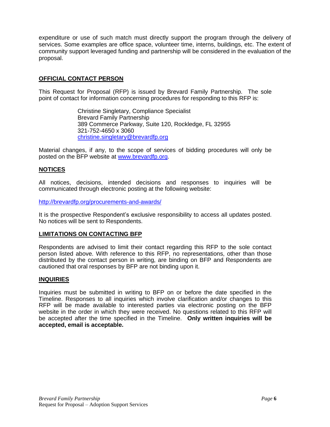expenditure or use of such match must directly support the program through the delivery of services. Some examples are office space, volunteer time, interns, buildings, etc. The extent of community support leveraged funding and partnership will be considered in the evaluation of the proposal.

### **OFFICIAL CONTACT PERSON**

This Request for Proposal (RFP) is issued by Brevard Family Partnership. The sole point of contact for information concerning procedures for responding to this RFP is:

> Christine Singletary, Compliance Specialist Brevard Family Partnership 389 Commerce Parkway, Suite 120, Rockledge, FL 32955 321-752-4650 x 3060 [christine.singletary@brevardfp.org](mailto:christopher.goncalo@brevardfp.org)

Material changes, if any, to the scope of services of bidding procedures will only be posted on the BFP website at [www.brevardfp.org.](http://www.brevardfp.org/)

### **NOTICES**

All notices, decisions, intended decisions and responses to inquiries will be communicated through electronic posting at the following website:

<http://brevardfp.org/procurements-and-awards/>

It is the prospective Respondent's exclusive responsibility to access all updates posted. No notices will be sent to Respondents.

#### **LIMITATIONS ON CONTACTING BFP**

Respondents are advised to limit their contact regarding this RFP to the sole contact person listed above. With reference to this RFP, no representations, other than those distributed by the contact person in writing, are binding on BFP and Respondents are cautioned that oral responses by BFP are not binding upon it.

#### **INQUIRIES**

Inquiries must be submitted in writing to BFP on or before the date specified in the Timeline. Responses to all inquiries which involve clarification and/or changes to this RFP will be made available to interested parties via electronic posting on the BFP website in the order in which they were received. No questions related to this RFP will be accepted after the time specified in the Timeline. **Only written inquiries will be accepted, email is acceptable.**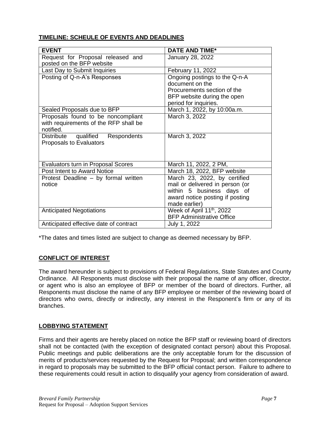### **TIMELINE: SCHEULE OF EVENTS AND DEADLINES**

| <b>EVENT</b>                           | <b>DATE AND TIME*</b>                 |
|----------------------------------------|---------------------------------------|
| Request for Proposal released and      | January 28, 2022                      |
| posted on the BFP website              |                                       |
| Last Day to Submit Inquiries           | February 11, 2022                     |
| Posting of Q-n-A's Responses           | Ongoing postings to the Q-n-A         |
|                                        | document on the                       |
|                                        | Procurements section of the           |
|                                        | BFP website during the open           |
|                                        | period for inquiries.                 |
| Sealed Proposals due to BFP            | March 1, 2022, by 10:00a.m.           |
| Proposals found to be noncompliant     | March 3, 2022                         |
| with requirements of the RFP shall be  |                                       |
| notified.                              |                                       |
| qualified Respondents<br>Distribute    | March 3, 2022                         |
| Proposals to Evaluators                |                                       |
|                                        |                                       |
|                                        |                                       |
| Evaluators turn in Proposal Scores     | March 11, 2022, 2 PM,                 |
| Post Intent to Award Notice            | March 18, 2022, BFP website           |
| Protest Deadline - by formal written   | March 23, 2022, by certified          |
| notice                                 | mail or delivered in person (or       |
|                                        | within 5 business days of             |
|                                        | award notice posting if posting       |
|                                        | made earlier)                         |
| <b>Anticipated Negotiations</b>        | Week of April 11 <sup>th</sup> , 2022 |
|                                        | <b>BFP Administrative Office</b>      |
| Anticipated effective date of contract | July 1, 2022                          |

\*The dates and times listed are subject to change as deemed necessary by BFP.

### **CONFLICT OF INTEREST**

The award hereunder is subject to provisions of Federal Regulations, State Statutes and County Ordinance. All Responents must disclose with their proposal the name of any officer, director, or agent who is also an employee of BFP or member of the board of directors. Further, all Responents must disclose the name of any BFP employee or member of the reviewing board of directors who owns, directly or indirectly, any interest in the Responent's firm or any of its branches.

### **LOBBYING STATEMENT**

Firms and their agents are hereby placed on notice the BFP staff or reviewing board of directors shall not be contacted (with the exception of designated contact person) about this Proposal. Public meetings and public deliberations are the only acceptable forum for the discussion of merits of products/services requested by the Request for Proposal; and written correspondence in regard to proposals may be submitted to the BFP official contact person. Failure to adhere to these requirements could result in action to disqualify your agency from consideration of award.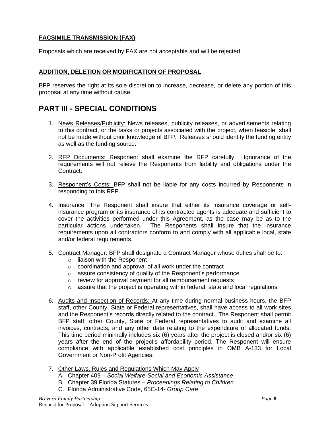### **FACSIMILE TRANSMISSION (FAX)**

Proposals which are received by FAX are not acceptable and will be rejected.

### **ADDITION, DELETION OR MODIFICATION OF PROPOSAL**

BFP reserves the right at its sole discretion to increase, decrease, or delete any portion of this proposal at any time without cause.

### **PART III - SPECIAL CONDITIONS**

- 1. News Releases/Publicity: News releases, publicity releases, or advertisements relating to this contract, or the tasks or projects associated with the project, when feasible, shall not be made without prior knowledge of BFP. Releases should identify the funding entity as well as the funding source.
- 2. RFP Documents: Responent shall examine the RFP carefully. Ignorance of the requirements will not relieve the Responents from liability and obligations under the Contract.
- 3. Responent's Costs: BFP shall not be liable for any costs incurred by Responents in responding to this RFP.
- 4. Insurance: The Responent shall insure that either its insurance coverage or selfinsurance program or its insurance of its contracted agents is adequate and sufficient to cover the activities performed under this Agreement, as the case may be as to the particular actions undertaken. The Responents shall insure that the insurance requirements upon all contractors conform to and comply with all applicable local, state and/or federal requirements.
- 5. Contract Manager: BFP shall designate a Contract Manager whose duties shall be to:
	- o liaison with the Responent
	- o coordination and approval of all work under the contract
	- o assure consistency of quality of the Responent's performance
	- o review for approval payment for all reimbursement requests
	- $\circ$  assure that the project is operating within federal, state and local regulations
- 6. Audits and Inspection of Records: At any time during normal business hours, the BFP staff, other County, State or Federal representatives, shall have access to all work sites and the Responent's records directly related to the contract. The Responent shall permit BFP staff, other County, State or Federal representatives to audit and examine all invoices, contracts, and any other data relating to the expenditure of allocated funds. This time period minimally includes six (6) years after the project is closed and/or six (6) years after the end of the project's affordability period. The Responent will ensure compliance with applicable established cost principles in OMB A-133 for Local Government or Non-Profit Agencies.
- 7. Other Laws, Rules and Regulations Which May Apply
	- A. Chapter 409 *Social Welfare-Social and Economic Assistance*
	- B. Chapter 39 Florida Statutes *Proceedings Relating to Children*
	- C. Florida Administrative Code, 65C-14- *Group Care*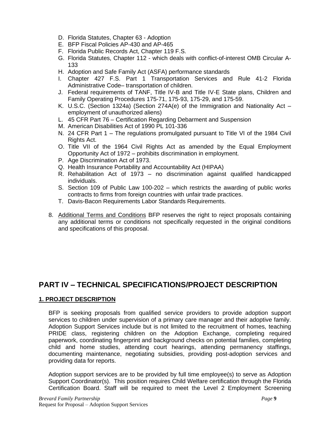- D. Florida Statutes, Chapter 63 Adoption
- E. BFP Fiscal Policies AP-430 and AP-465
- F. Florida Public Records Act, Chapter 119 F.S.
- G. Florida Statutes, Chapter 112 which deals with conflict-of-interest OMB Circular A-133
- H. Adoption and Safe Family Act (ASFA) performance standards
- I. Chapter 427 F.S. Part 1 Transportation Services and Rule 41-2 Florida Administrative Code– transportation of children.
- J. Federal requirements of TANF, Title IV-B and Title IV-E State plans, Children and Family Operating Procedures 175-71, 175-93, 175-29, and 175-59.
- K. U.S.C. (Section 1324a) (Section 274A(e) of the Immigration and Nationality Act employment of unauthorized aliens)
- L. 45 CFR Part 76 Certification Regarding Debarment and Suspension
- M. American Disabilities Act of 1990 PL 101-336
- N. 24 CFR Part 1 The regulations promulgated pursuant to Title VI of the 1984 Civil Rights Act.
- O. Title VII of the 1964 Civil Rights Act as amended by the Equal Employment Opportunity Act of 1972 – prohibits discrimination in employment.
- P. Age Discrimination Act of 1973.
- Q. Health Insurance Portability and Accountability Act (HIPAA)
- R. Rehabilitation Act of 1973 no discrimination against qualified handicapped individuals.
- S. Section 109 of Public Law 100-202 which restricts the awarding of public works contracts to firms from foreign countries with unfair trade practices.
- T. Davis-Bacon Requirements Labor Standards Requirements.
- 8. Additional Terms and Conditions BFP reserves the right to reject proposals containing any additional terms or conditions not specifically requested in the original conditions and specifications of this proposal.

### **PART IV – TECHNICAL SPECIFICATIONS/PROJECT DESCRIPTION**

### **1. PROJECT DESCRIPTION**

BFP is seeking proposals from qualified service providers to provide adoption support services to children under supervision of a primary care manager and their adoptive family. Adoption Support Services include but is not limited to the recruitment of homes, teaching PRIDE class, registering children on the Adoption Exchange, completing required paperwork, coordinating fingerprint and background checks on potential families, completing child and home studies, attending court hearings, attending permanency staffings, documenting maintenance, negotiating subsidies, providing post-adoption services and providing data for reports.

Adoption support services are to be provided by full time employee(s) to serve as Adoption Support Coordinator(s). This position requires Child Welfare certification through the Florida Certification Board. Staff will be required to meet the Level 2 Employment Screening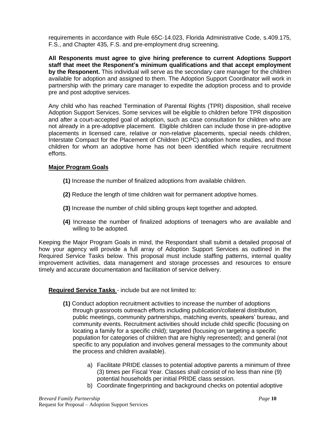requirements in accordance with Rule 65C-14.023, Florida Administrative Code, s.409.175, F.S., and Chapter 435, F.S. and pre-employment drug screening.

**All Responents must agree to give hiring preference to current Adoptions Support staff that meet the Responent's minimum qualifications and that accept employment by the Responent.** This individual will serve as the secondary care manager for the children available for adoption and assigned to them. The Adoption Support Coordinator will work in partnership with the primary care manager to expedite the adoption process and to provide pre and post adoptive services.

Any child who has reached Termination of Parental Rights (TPR) disposition, shall receive Adoption Support Services. Some services will be eligible to children before TPR disposition and after a court-accepted goal of adoption, such as case consultation for children who are not already in a pre-adoptive placement. Eligible children can include those in pre-adoptive placements in licensed care, relative or non-relative placements, special needs children, Interstate Compact for the Placement of Children (ICPC) adoption home studies, and those children for whom an adoptive home has not been identified which require recruitment efforts.

### **Major Program Goals**

- **(1)** Increase the number of finalized adoptions from available children.
- **(2)** Reduce the length of time children wait for permanent adoptive homes.
- **(3)** Increase the number of child sibling groups kept together and adopted.
- **(4)** Increase the number of finalized adoptions of teenagers who are available and willing to be adopted.

Keeping the Major Program Goals in mind, the Respondant shall submit a detailed proposal of how your agency will provide a full array of Adoption Support Services as outlined in the Required Service Tasks below. This proposal must include staffing patterns, internal quality improvement activities, data management and storage processes and resources to ensure timely and accurate documentation and facilitation of service delivery.

### **Required Service Tasks** - include but are not limited to:

- **(1)** Conduct adoption recruitment activities to increase the number of adoptions through grassroots outreach efforts including publication/collateral distribution, public meetings, community partnerships, matching events, speakers' bureau, and community events. Recruitment activities should include child specific (focusing on locating a family for a specific child); targeted (focusing on targeting a specific population for categories of children that are highly represented); and general (not specific to any population and involves general messages to the community about the process and children available).
	- a) Facilitate PRIDE classes to potential adoptive parents a minimum of three (3) times per Fiscal Year. Classes shall consist of no less than nine (9) potential households per initial PRIDE class session.
	- b) Coordinate fingerprinting and background checks on potential adoptive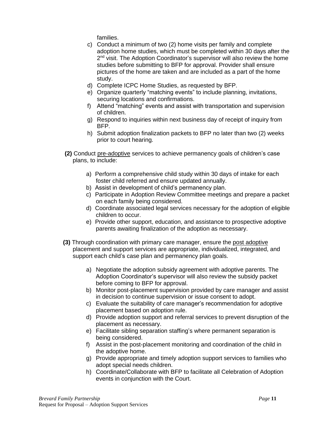families.

- c) Conduct a minimum of two (2) home visits per family and complete adoption home studies, which must be completed within 30 days after the 2<sup>nd</sup> visit. The Adoption Coordinator's supervisor will also review the home studies before submitting to BFP for approval. Provider shall ensure pictures of the home are taken and are included as a part of the home study.
- d) Complete ICPC Home Studies, as requested by BFP.
- e) Organize quarterly "matching events" to include planning, invitations, securing locations and confirmations.
- f) Attend "matching" events and assist with transportation and supervision of children.
- g) Respond to inquiries within next business day of receipt of inquiry from BFP.
- h) Submit adoption finalization packets to BFP no later than two (2) weeks prior to court hearing.
- **(2)** Conduct pre-adoptive services to achieve permanency goals of children's case plans, to include:
	- a) Perform a comprehensive child study within 30 days of intake for each foster child referred and ensure updated annually.
	- b) Assist in development of child's permanency plan.
	- c) Participate in Adoption Review Committee meetings and prepare a packet on each family being considered.
	- d) Coordinate associated legal services necessary for the adoption of eligible children to occur.
	- e) Provide other support, education, and assistance to prospective adoptive parents awaiting finalization of the adoption as necessary.
- **(3)** Through coordination with primary care manager, ensure the post adoptive placement and support services are appropriate, individualized, integrated, and support each child's case plan and permanency plan goals.
	- a) Negotiate the adoption subsidy agreement with adoptive parents. The Adoption Coordinator's supervisor will also review the subsidy packet before coming to BFP for approval.
	- b) Monitor post-placement supervision provided by care manager and assist in decision to continue supervision or issue consent to adopt.
	- c) Evaluate the suitability of care manager's recommendation for adoptive placement based on adoption rule.
	- d) Provide adoption support and referral services to prevent disruption of the placement as necessary.
	- e) Facilitate sibling separation staffing's where permanent separation is being considered.
	- f) Assist in the post-placement monitoring and coordination of the child in the adoptive home.
	- g) Provide appropriate and timely adoption support services to families who adopt special needs children.
	- h) Coordinate/Collaborate with BFP to facilitate all Celebration of Adoption events in conjunction with the Court.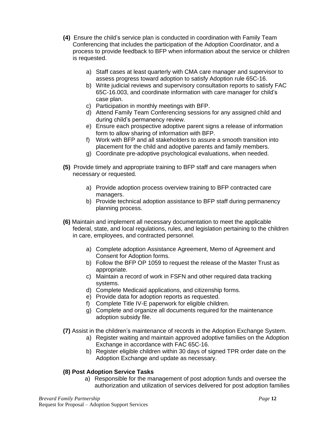- **(4)** Ensure the child's service plan is conducted in coordination with Family Team Conferencing that includes the participation of the Adoption Coordinator, and a process to provide feedback to BFP when information about the service or children is requested.
	- a) Staff cases at least quarterly with CMA care manager and supervisor to assess progress toward adoption to satisfy Adoption rule 65C-16.
	- b) Write judicial reviews and supervisory consultation reports to satisfy FAC 65C-16.003, and coordinate information with care manager for child's case plan.
	- c) Participation in monthly meetings with BFP.
	- d) Attend Family Team Conferencing sessions for any assigned child and during child's permanency review.
	- e) Ensure each prospective adoptive parent signs a release of information form to allow sharing of information with BFP.
	- f) Work with BFP and all stakeholders to assure a smooth transition into placement for the child and adoptive parents and family members.
	- g) Coordinate pre-adoptive psychological evaluations, when needed.
- **(5)** Provide timely and appropriate training to BFP staff and care managers when necessary or requested.
	- a) Provide adoption process overview training to BFP contracted care managers.
	- b) Provide technical adoption assistance to BFP staff during permanency planning process.
- **(6)** Maintain and implement all necessary documentation to meet the applicable federal, state, and local regulations, rules, and legislation pertaining to the children in care, employees, and contracted personnel.
	- a) Complete adoption Assistance Agreement, Memo of Agreement and Consent for Adoption forms.
	- b) Follow the BFP OP 1059 to request the release of the Master Trust as appropriate.
	- c) Maintain a record of work in FSFN and other required data tracking systems.
	- d) Complete Medicaid applications, and citizenship forms.
	- e) Provide data for adoption reports as requested.
	- f) Complete Title IV-E paperwork for eligible children.
	- g) Complete and organize all documents required for the maintenance adoption subsidy file.
- **(7)** Assist in the children's maintenance of records in the Adoption Exchange System.
	- a) Register waiting and maintain approved adoptive families on the Adoption Exchange in accordance with FAC 65C-16.
	- b) Register eligible children within 30 days of signed TPR order date on the Adoption Exchange and update as necessary.

### **(8) Post Adoption Service Tasks**

a) Responsible for the management of post adoption funds and oversee the authorization and utilization of services delivered for post adoption families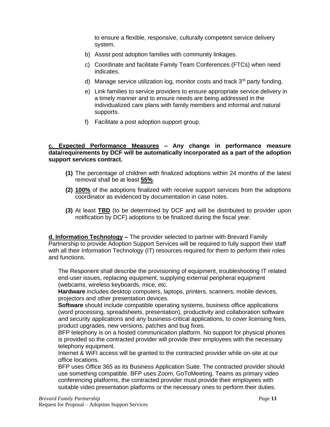to ensure a flexible, responsive, culturally competent service delivery system.

- b) Assist post adoption families with community linkages.
- c) Coordinate and facilitate Family Team Conferences (FTCs) when need indicates.
- d) Manage service utilization log, monitor costs and track  $3<sup>rd</sup>$  party funding.
- e) Link families to service providers to ensure appropriate service delivery in a timely manner and to ensure needs are being addressed in the individualized care plans with family members and informal and natural supports.
- f) Facilitate a post adoption support group.

#### **c. Expected Performance Measures – Any change in performance measure data/requirements by DCF will be automatically incorporated as a part of the adoption support services contract.**

- **(1)** The percentage of children with finalized adoptions within 24 months of the latest removal shall be at least **55%**.
- **(2) 100%** of the adoptions finalized with receive support services from the adoptions coordinator as evidenced by documentation in case notes.
- **(3)** At least **TBD** (to be determined by DCF and will be distributed to provider upon notification by DCF) adoptions to be finalized during the fiscal year.

**d. Information Technology –** The provider selected to partner with Brevard Family Partnership to provide Adoption Support Services will be required to fully support their staff with all their Information Technology (IT) resources required for them to perform their roles and functions.

The Responent shall describe the provisioning of equipment, troubleshooting IT related end-user issues, replacing equipment, supplying external peripheral equipment (webcams, wireless keyboards, mice, etc.

**Hardware** includes desktop computers, laptops, printers, scanners, mobile devices, projectors and other presentation devices.

**Software** should include compatible operating systems, business office applications (word processing, spreadsheets, presentation), productivity and collaboration software and security applications and any business-critical applications, to cover licensing fees, product upgrades, new versions, patches and bug fixes.

BFP telephony is on a hosted communication platform. No support for physical phones is provided so the contracted provider will provide their employees with the necessary telephony equipment.

Internet & WiFI access will be granted to the contracted provider while on-site at our office locations.

BFP uses Office 365 as its Business Application Suite. The contracted provider should use something compatible. BFP uses Zoom, GoToMeeting, Teams as primary video conferencing platforms, the contracted provider must provide their employees with suitable video presentation platforms or the necessary ones to perform their duties.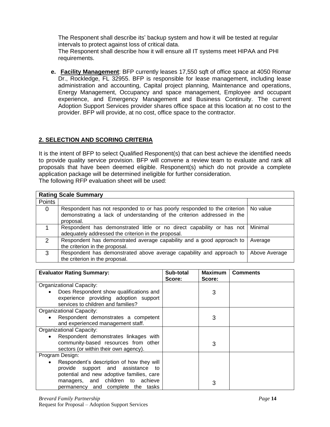The Responent shall describe its' backup system and how it will be tested at regular intervals to protect against loss of critical data.

The Responent shall describe how it will ensure all IT systems meet HIPAA and PHI requirements.

**e. Facility Management**: BFP currently leases 17,550 sqft of office space at 4050 Riomar Dr., Rockledge, FL 32955. BFP is responsible for lease management, including lease administration and accounting, Capital project planning, Maintenance and operations, Energy Management, Occupancy and space management, Employee and occupant experience, and Emergency Management and Business Continuity. The current Adoption Support Services provider shares office space at this location at no cost to the provider. BFP will provide, at no cost, office space to the contractor.

### **2. SELECTION AND SCORING CRITERIA**

It is the intent of BFP to select Qualified Responent(s) that can best achieve the identified needs to provide quality service provision. BFP will convene a review team to evaluate and rank all proposals that have been deemed eligible. Responent(s) which do not provide a complete application package will be determined ineligible for further consideration. The following RFP evaluation sheet will be used:

|               | <b>Rating Scale Summary</b>                                                                                                                                      |               |
|---------------|------------------------------------------------------------------------------------------------------------------------------------------------------------------|---------------|
| Points        |                                                                                                                                                                  |               |
| 0             | Respondent has not responded to or has poorly responded to the criterion<br>demonstrating a lack of understanding of the criterion addressed in the<br>proposal. | No value      |
|               | Respondent has demonstrated little or no direct capability or has not<br>adequately addressed the criterion in the proposal.                                     | Minimal       |
| $\mathcal{P}$ | Respondent has demonstrated average capability and a good approach to<br>the criterion in the proposal.                                                          | Average       |
| 3             | Respondent has demonstrated above average capability and approach to<br>the criterion in the proposal.                                                           | Above Average |

| <b>Evaluator Rating Summary:</b>                                                                                               | Sub-total | <b>Maximum</b> | <b>Comments</b> |
|--------------------------------------------------------------------------------------------------------------------------------|-----------|----------------|-----------------|
|                                                                                                                                | Score:    | Score:         |                 |
| Organizational Capacity:                                                                                                       |           |                |                 |
| Does Respondent show qualifications and<br>experience providing adoption support<br>services to children and families?         |           | 3              |                 |
| Organizational Capacity:                                                                                                       |           |                |                 |
|                                                                                                                                |           |                |                 |
| Respondent demonstrates a competent<br>and experienced management staff.                                                       |           | 3              |                 |
| Organizational Capacity:                                                                                                       |           |                |                 |
| Respondent demonstrates linkages with<br>community-based resources from other<br>sectors (or within their own agency).         |           | 3              |                 |
| Program Design:                                                                                                                |           |                |                 |
| Respondent's description of how they will<br>provide support and assistance<br>to<br>potential and new adoptive families, care |           |                |                 |
| managers, and children to achieve<br>permanency and complete the tasks                                                         |           | 3              |                 |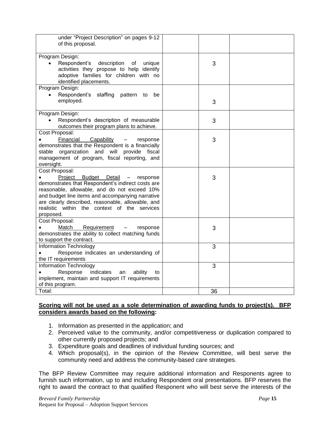| under "Project Description" on pages 9-12<br>of this proposal.                                                                                                                                                                                                                                                         |    |  |
|------------------------------------------------------------------------------------------------------------------------------------------------------------------------------------------------------------------------------------------------------------------------------------------------------------------------|----|--|
| Program Design:                                                                                                                                                                                                                                                                                                        |    |  |
| Respondent's description of unique<br>activities they propose to help identify<br>adoptive families for children with no<br>identified placements.                                                                                                                                                                     | 3  |  |
| Program Design:                                                                                                                                                                                                                                                                                                        |    |  |
| Respondent's staffing pattern to<br>be<br>$\bullet$<br>employed.                                                                                                                                                                                                                                                       | 3  |  |
| Program Design:                                                                                                                                                                                                                                                                                                        |    |  |
| Respondent's description of measurable<br>outcomes their program plans to achieve.                                                                                                                                                                                                                                     | 3  |  |
| Cost Proposal:                                                                                                                                                                                                                                                                                                         |    |  |
| Financial<br>Capability<br>response<br>$\overline{\phantom{m}}$<br>demonstrates that the Respondent is a financially<br>organization and will provide<br>stable<br>fiscal<br>management of program, fiscal reporting, and<br>oversight.                                                                                | 3  |  |
| Cost Proposal:                                                                                                                                                                                                                                                                                                         |    |  |
| Project Budget Detail<br>response<br>$\sim$<br>demonstrates that Respondent's indirect costs are<br>reasonable, allowable, and do not exceed 10%<br>and budget line items and accompanying narrative<br>are clearly described, reasonable, allowable, and<br>realistic within the context of the services<br>proposed. | 3  |  |
| Cost Proposal:                                                                                                                                                                                                                                                                                                         |    |  |
| Match<br>Requirement<br>response<br>$\overline{\phantom{m}}$<br>demonstrates the ability to collect matching funds<br>to support the contract.                                                                                                                                                                         | 3  |  |
| Information Technology<br>Response indicates an understanding of<br>the IT requirements                                                                                                                                                                                                                                | 3  |  |
| Information Technology                                                                                                                                                                                                                                                                                                 | 3  |  |
| Response<br>indicates<br>ability<br>an<br>to                                                                                                                                                                                                                                                                           |    |  |
| implement, maintain and support IT requirements                                                                                                                                                                                                                                                                        |    |  |
| of this program.                                                                                                                                                                                                                                                                                                       |    |  |
| Total:                                                                                                                                                                                                                                                                                                                 | 36 |  |
|                                                                                                                                                                                                                                                                                                                        |    |  |

### **Scoring will not be used as a sole determination of awarding funds to project(s). BFP considers awards based on the following:**

- 1. Information as presented in the application; and
- 2. Perceived value to the community, and/or competitiveness or duplication compared to other currently proposed projects; and
- 3. Expenditure goals and deadlines of individual funding sources; and
- 4. Which proposal(s), in the opinion of the Review Committee, will best serve the community need and address the community-based care strategies.

The BFP Review Committee may require additional information and Responents agree to furnish such information, up to and including Respondent oral presentations. BFP reserves the right to award the contract to that qualified Responent who will best serve the interests of the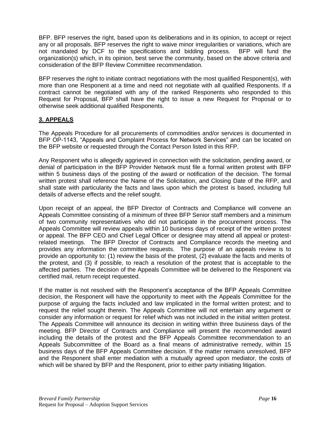BFP. BFP reserves the right, based upon its deliberations and in its opinion, to accept or reject any or all proposals. BFP reserves the right to waive minor irregularities or variations, which are not mandated by DCF to the specifications and bidding process. BFP will fund the organization(s) which, in its opinion, best serve the community, based on the above criteria and consideration of the BFP Review Committee recommendation.

BFP reserves the right to initiate contract negotiations with the most qualified Responent(s), with more than one Responent at a time and need not negotiate with all qualified Responents. If a contract cannot be negotiated with any of the ranked Responents who responded to this Request for Proposal, BFP shall have the right to issue a new Request for Proposal or to otherwise seek additional qualified Responents.

### **3. APPEALS**

The Appeals Procedure for all procurements of commodities and/or services is documented in BFP OP-1143, "Appeals and Complaint Process for Network Services" and can be located on the BFP website or requested through the Contact Person listed in this RFP.

Any Responent who is allegedly aggrieved in connection with the solicitation, pending award, or denial of participation in the BFP Provider Network must file a formal written protest with BFP within 5 business days of the posting of the award or notification of the decision. The formal written protest shall reference the Name of the Solicitation, and Closing Date of the RFP, and shall state with particularity the facts and laws upon which the protest is based, including full details of adverse effects and the relief sought.

Upon receipt of an appeal, the BFP Director of Contracts and Compliance will convene an Appeals Committee consisting of a minimum of three BFP Senior staff members and a minimum of two community representatives who did not participate in the procurement process. The Appeals Committee will review appeals within 10 business days of receipt of the written protest or appeal. The BFP CEO and Chief Legal Officer or designee may attend all appeal or protestrelated meetings. The BFP Director of Contracts and Compliance records the meeting and provides any information the committee requests. The purpose of an appeals review is to provide an opportunity to: (1) review the basis of the protest, (2) evaluate the facts and merits of the protest, and (3) if possible, to reach a resolution of the protest that is acceptable to the affected parties. The decision of the Appeals Committee will be delivered to the Responent via certified mail, return receipt requested.

If the matter is not resolved with the Responent's acceptance of the BFP Appeals Committee decision, the Responent will have the opportunity to meet with the Appeals Committee for the purpose of arguing the facts included and law implicated in the formal written protest; and to request the relief sought therein. The Appeals Committee will not entertain any argument or consider any information or request for relief which was not included in the initial written protest. The Appeals Committee will announce its decision in writing within three business days of the meeting. BFP Director of Contracts and Compliance will present the recommended award including the details of the protest and the BFP Appeals Committee recommendation to an Appeals Subcommittee of the Board as a final means of administrative remedy, within 15 business days of the BFP Appeals Committee decision. If the matter remains unresolved, BFP and the Responent shall enter mediation with a mutually agreed upon mediator, the costs of which will be shared by BFP and the Responent, prior to either party initiating litigation.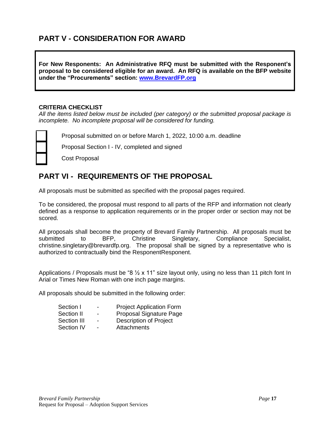### **PART V - CONSIDERATION FOR AWARD**

**For New Responents: An Administrative RFQ must be submitted with the Responent's proposal to be considered eligible for an award. An RFQ is available on the BFP website under the "Procurements" section: [www.BrevardFP.org](http://www.brevardfp.org/)**

#### **CRITERIA CHECKLIST**

*All the items listed below must be included (per category) or the submitted proposal package is incomplete. No incomplete proposal will be considered for funding.*



Proposal submitted on or before March 1, 2022, 10:00 a.m. deadline

Proposal Section I - IV, completed and signed

Cost Proposal

### **PART VI - REQUIREMENTS OF THE PROPOSAL**

All proposals must be submitted as specified with the proposal pages required.

To be considered, the proposal must respond to all parts of the RFP and information not clearly defined as a response to application requirements or in the proper order or section may not be scored.

All proposals shall become the property of Brevard Family Partnership. All proposals must be submitted to BFP, Christine Singletary, Compliance Specialist, christine.singletary@brevardfp.org. The proposal shall be signed by a representative who is authorized to contractually bind the ResponentResponent.

Applications / Proposals must be "8 1/2 x 11" size layout only, using no less than 11 pitch font In Arial or Times New Roman with one inch page margins.

All proposals should be submitted in the following order:

| Section I   | - | <b>Project Application Form</b> |
|-------------|---|---------------------------------|
| Section II  | - | Proposal Signature Page         |
| Section III | ۰ | Description of Project          |
| Section IV  | - | Attachments                     |

Section IV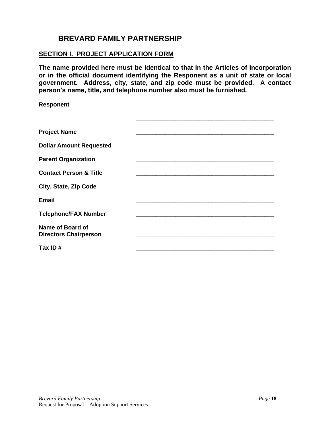### **BREVARD FAMILY PARTNERSHIP**

### **SECTION I. PROJECT APPLICATION FORM**

**The name provided here must be identical to that in the Articles of Incorporation or in the official document identifying the Responent as a unit of state or local government. Address, city, state, and zip code must be provided. A contact person's name, title, and telephone number also must be furnished.**

| <b>Responent</b>                                 |  |
|--------------------------------------------------|--|
|                                                  |  |
|                                                  |  |
| <b>Project Name</b>                              |  |
| <b>Dollar Amount Requested</b>                   |  |
|                                                  |  |
| <b>Parent Organization</b>                       |  |
| <b>Contact Person &amp; Title</b>                |  |
| City, State, Zip Code                            |  |
| <b>Email</b>                                     |  |
| <b>Telephone/FAX Number</b>                      |  |
|                                                  |  |
| Name of Board of<br><b>Directors Chairperson</b> |  |
|                                                  |  |
| Tax ID#                                          |  |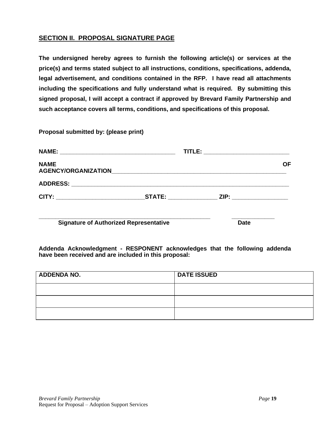### **SECTION II. PROPOSAL SIGNATURE PAGE**

**The undersigned hereby agrees to furnish the following article(s) or services at the price(s) and terms stated subject to all instructions, conditions, specifications, addenda, legal advertisement, and conditions contained in the RFP. I have read all attachments including the specifications and fully understand what is required. By submitting this signed proposal, I will accept a contract if approved by Brevard Family Partnership and such acceptance covers all terms, conditions, and specifications of this proposal.**

**Proposal submitted by: (please print)**

|                                               | TITLE: ___________________________ |    |
|-----------------------------------------------|------------------------------------|----|
| <b>NAME</b>                                   |                                    | ΟF |
|                                               |                                    |    |
|                                               |                                    |    |
| <b>Signature of Authorized Representative</b> | <b>Date</b>                        |    |

**Addenda Acknowledgment - RESPONENT acknowledges that the following addenda have been received and are included in this proposal:**

| <b>ADDENDA NO.</b> | <b>DATE ISSUED</b> |
|--------------------|--------------------|
|                    |                    |
|                    |                    |
|                    |                    |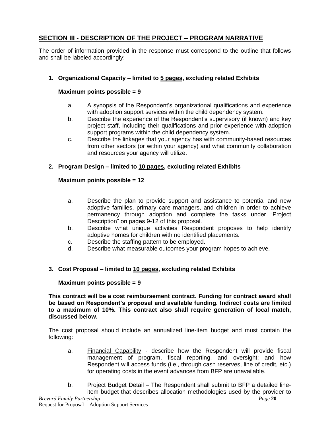### **SECTION III - DESCRIPTION OF THE PROJECT – PROGRAM NARRATIVE**

The order of information provided in the response must correspond to the outline that follows and shall be labeled accordingly:

### **1. Organizational Capacity – limited to 5 pages, excluding related Exhibits**

### **Maximum points possible = 9**

- a. A synopsis of the Respondent's organizational qualifications and experience with adoption support services within the child dependency system.
- b. Describe the experience of the Respondent's supervisory (if known) and key project staff, including their qualifications and prior experience with adoption support programs within the child dependency system.
- c. Describe the linkages that your agency has with community-based resources from other sectors (or within your agency) and what community collaboration and resources your agency will utilize.

### **2. Program Design – limited to 10 pages, excluding related Exhibits**

### **Maximum points possible = 12**

- a. Describe the plan to provide support and assistance to potential and new adoptive families, primary care managers, and children in order to achieve permanency through adoption and complete the tasks under "Project Description" on pages 9-12 of this proposal.
- b. Describe what unique activities Respondent proposes to help identify adoptive homes for children with no identified placements.
- c. Describe the staffing pattern to be employed.
- d. Describe what measurable outcomes your program hopes to achieve.

### **3. Cost Proposal – limited to 10 pages, excluding related Exhibits**

### **Maximum points possible = 9**

**This contract will be a cost reimbursement contract. Funding for contract award shall be based on Respondent's proposal and available funding. Indirect costs are limited to a maximum of 10%. This contract also shall require generation of local match, discussed below.** 

The cost proposal should include an annualized line-item budget and must contain the following:

- a. Financial Capability describe how the Respondent will provide fiscal management of program, fiscal reporting, and oversight; and how Respondent will access funds (i.e., through cash reserves, line of credit, etc.) for operating costs in the event advances from BFP are unavailable.
- *Brevard Family Partnership Page* **20** b. Project Budget Detail – The Respondent shall submit to BFP a detailed lineitem budget that describes allocation methodologies used by the provider to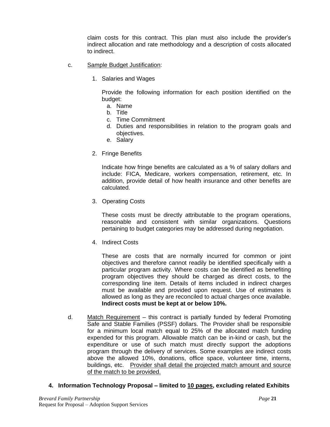claim costs for this contract. This plan must also include the provider's indirect allocation and rate methodology and a description of costs allocated to indirect.

- c. Sample Budget Justification:
	- 1. Salaries and Wages

Provide the following information for each position identified on the budget:

- a. Name
- b. Title
- c. Time Commitment
- d. Duties and responsibilities in relation to the program goals and objectives.
- e. Salary
- 2. Fringe Benefits

Indicate how fringe benefits are calculated as a % of salary dollars and include: FICA, Medicare, workers compensation, retirement, etc. In addition, provide detail of how health insurance and other benefits are calculated.

3. Operating Costs

These costs must be directly attributable to the program operations, reasonable and consistent with similar organizations. Questions pertaining to budget categories may be addressed during negotiation.

4. Indirect Costs

These are costs that are normally incurred for common or joint objectives and therefore cannot readily be identified specifically with a particular program activity. Where costs can be identified as benefiting program objectives they should be charged as direct costs, to the corresponding line item. Details of items included in indirect charges must be available and provided upon request. Use of estimates is allowed as long as they are reconciled to actual charges once available. **Indirect costs must be kept at or below 10%.**

- d. Match Requirement this contract is partially funded by federal Promoting Safe and Stable Families (PSSF) dollars. The Provider shall be responsible for a minimum local match equal to 25% of the allocated match funding expended for this program. Allowable match can be in-kind or cash, but the expenditure or use of such match must directly support the adoptions program through the delivery of services. Some examples are indirect costs above the allowed 10%, donations, office space, volunteer time, interns, buildings, etc. Provider shall detail the projected match amount and source of the match to be provided.
- **4. Information Technology Proposal – limited to 10 pages, excluding related Exhibits**